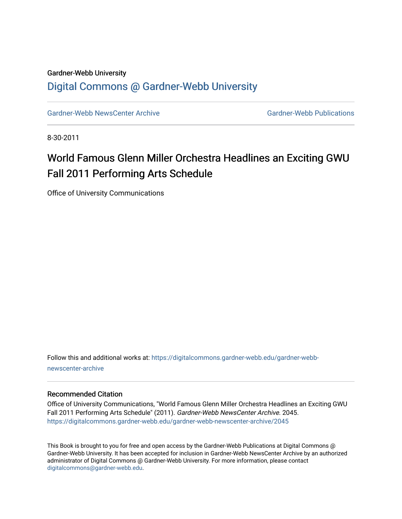# Gardner-Webb University [Digital Commons @ Gardner-Webb University](https://digitalcommons.gardner-webb.edu/)

[Gardner-Webb NewsCenter Archive](https://digitalcommons.gardner-webb.edu/gardner-webb-newscenter-archive) Gardner-Webb Publications

8-30-2011

# World Famous Glenn Miller Orchestra Headlines an Exciting GWU Fall 2011 Performing Arts Schedule

Office of University Communications

Follow this and additional works at: [https://digitalcommons.gardner-webb.edu/gardner-webb](https://digitalcommons.gardner-webb.edu/gardner-webb-newscenter-archive?utm_source=digitalcommons.gardner-webb.edu%2Fgardner-webb-newscenter-archive%2F2045&utm_medium=PDF&utm_campaign=PDFCoverPages)[newscenter-archive](https://digitalcommons.gardner-webb.edu/gardner-webb-newscenter-archive?utm_source=digitalcommons.gardner-webb.edu%2Fgardner-webb-newscenter-archive%2F2045&utm_medium=PDF&utm_campaign=PDFCoverPages)

#### Recommended Citation

Office of University Communications, "World Famous Glenn Miller Orchestra Headlines an Exciting GWU Fall 2011 Performing Arts Schedule" (2011). Gardner-Webb NewsCenter Archive. 2045. [https://digitalcommons.gardner-webb.edu/gardner-webb-newscenter-archive/2045](https://digitalcommons.gardner-webb.edu/gardner-webb-newscenter-archive/2045?utm_source=digitalcommons.gardner-webb.edu%2Fgardner-webb-newscenter-archive%2F2045&utm_medium=PDF&utm_campaign=PDFCoverPages) 

This Book is brought to you for free and open access by the Gardner-Webb Publications at Digital Commons @ Gardner-Webb University. It has been accepted for inclusion in Gardner-Webb NewsCenter Archive by an authorized administrator of Digital Commons @ Gardner-Webb University. For more information, please contact [digitalcommons@gardner-webb.edu](mailto:digitalcommons@gardner-webb.edu).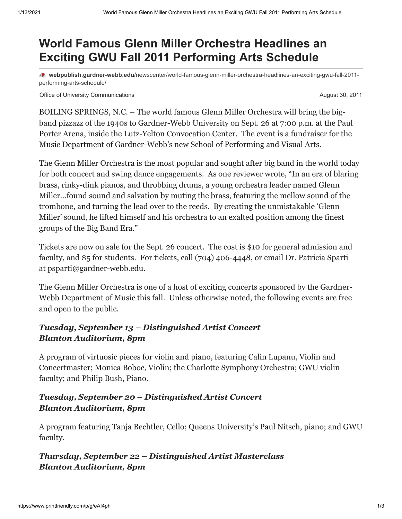# **World Famous Glenn Miller Orchestra Headlines an Exciting GWU Fall 2011 Performing Arts Schedule**

**webpublish.gardner-webb.edu**[/newscenter/world-famous-glenn-miller-orchestra-headlines-an-exciting-gwu-fall-2011](https://webpublish.gardner-webb.edu/newscenter/world-famous-glenn-miller-orchestra-headlines-an-exciting-gwu-fall-2011-performing-arts-schedule/) performing-arts-schedule/

Office of University Communications **August 30, 2011 August 30, 2011** 

BOILING SPRINGS, N.C. – The world famous Glenn Miller Orchestra will bring the bigband pizzazz of the 1940s to Gardner-Webb University on Sept. 26 at 7:00 p.m. at the Paul Porter Arena, inside the Lutz-Yelton Convocation Center. The event is a fundraiser for the Music Department of Gardner-Webb's new School of Performing and Visual Arts.

The Glenn Miller Orchestra is the most popular and sought after big band in the world today for both concert and swing dance engagements. As one reviewer wrote, "In an era of blaring brass, rinky-dink pianos, and throbbing drums, a young orchestra leader named Glenn Miller…found sound and salvation by muting the brass, featuring the mellow sound of the trombone, and turning the lead over to the reeds. By creating the unmistakable 'Glenn Miller' sound, he lifted himself and his orchestra to an exalted position among the finest groups of the Big Band Era."

Tickets are now on sale for the Sept. 26 concert. The cost is \$10 for general admission and faculty, and \$5 for students. For tickets, call (704) 406-4448, or email Dr. Patricia Sparti at [psparti@gardner-webb.edu](mailto:%20psparti@gardner-webb.edu).

The Glenn Miller Orchestra is one of a host of exciting concerts sponsored by the Gardner-Webb Department of Music this fall. Unless otherwise noted, the following events are free and open to the public.

## *Tuesday, September 13 – Distinguished Artist Concert Blanton Auditorium, 8pm*

A program of virtuosic pieces for violin and piano, featuring Calin Lupanu, Violin and Concertmaster; Monica Boboc, Violin; the Charlotte Symphony Orchestra; GWU violin faculty; and Philip Bush, Piano.

## *Tuesday, September 20 – Distinguished Artist Concert Blanton Auditorium, 8pm*

A program featuring Tanja Bechtler, Cello; Queens University's Paul Nitsch, piano; and GWU faculty.

#### *Thursday, September 22 – Distinguished Artist Masterclass Blanton Auditorium, 8pm*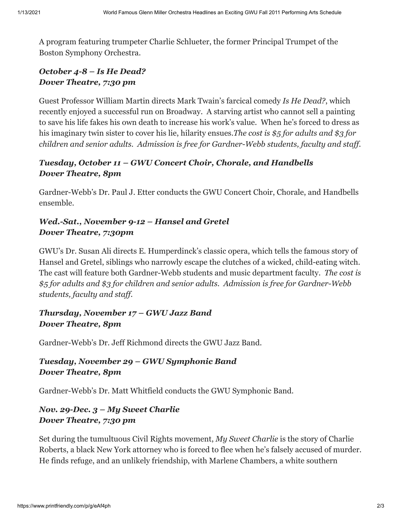A program featuring trumpeter Charlie Schlueter, the former Principal Trumpet of the Boston Symphony Orchestra.

## *October 4-8 – Is He Dead? Dover Theatre, 7:30 pm*

Guest Professor William Martin directs Mark Twain's farcical comedy *Is He Dead?*, which recently enjoyed a successful run on Broadway. A starving artist who cannot sell a painting to save his life fakes his own death to increase his work's value. When he's forced to dress as his imaginary twin sister to cover his lie, hilarity ensues.*The cost is \$5 for adults and \$3 for children and senior adults. Admission is free for Gardner-Webb students, faculty and staff.*

# *Tuesday, October 11 – GWU Concert Choir, Chorale, and Handbells Dover Theatre, 8pm*

Gardner-Webb's Dr. Paul J. Etter conducts the GWU Concert Choir, Chorale, and Handbells ensemble.

# *Wed.-Sat., November 9-12 – Hansel and Gretel Dover Theatre, 7:30pm*

GWU's Dr. Susan Ali directs E. Humperdinck's classic opera, which tells the famous story of Hansel and Gretel, siblings who narrowly escape the clutches of a wicked, child-eating witch. The cast will feature both Gardner-Webb students and music department faculty. *The cost is \$5 for adults and \$3 for children and senior adults. Admission is free for Gardner-Webb students, faculty and staff.*

## *Thursday, November 17 – GWU Jazz Band Dover Theatre, 8pm*

Gardner-Webb's Dr. Jeff Richmond directs the GWU Jazz Band.

# *Tuesday, November 29 – GWU Symphonic Band Dover Theatre, 8pm*

Gardner-Webb's Dr. Matt Whitfield conducts the GWU Symphonic Band.

## *Nov. 29-Dec. 3 – My Sweet Charlie Dover Theatre, 7:30 pm*

Set during the tumultuous Civil Rights movement, *My Sweet Charlie* is the story of Charlie Roberts, a black New York attorney who is forced to flee when he's falsely accused of murder. He finds refuge, and an unlikely friendship, with Marlene Chambers, a white southern